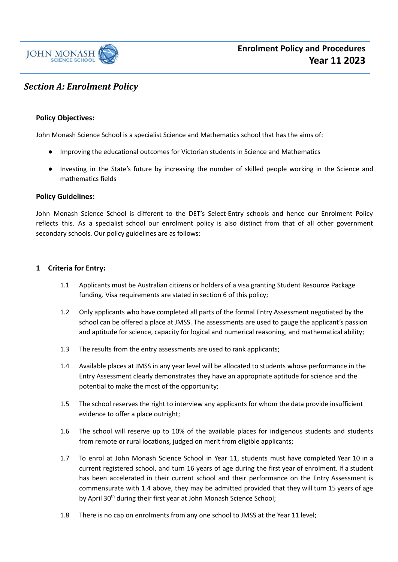

# *Section A: Enrolment Policy*

## **Policy Objectives:**

John Monash Science School is a specialist Science and Mathematics school that has the aims of:

- Improving the educational outcomes for Victorian students in Science and Mathematics
- Investing in the State's future by increasing the number of skilled people working in the Science and mathematics fields

#### **Policy Guidelines:**

John Monash Science School is different to the DET's Select-Entry schools and hence our Enrolment Policy reflects this. As a specialist school our enrolment policy is also distinct from that of all other government secondary schools. Our policy guidelines are as follows:

### **1 Criteria for Entry:**

- 1.1 Applicants must be Australian citizens or holders of a visa granting Student Resource Package funding. Visa requirements are stated in section 6 of this policy;
- 1.2 Only applicants who have completed all parts of the formal Entry Assessment negotiated by the school can be offered a place at JMSS. The assessments are used to gauge the applicant's passion and aptitude for science, capacity for logical and numerical reasoning, and mathematical ability;
- 1.3 The results from the entry assessments are used to rank applicants;
- 1.4 Available places at JMSS in any year level will be allocated to students whose performance in the Entry Assessment clearly demonstrates they have an appropriate aptitude for science and the potential to make the most of the opportunity;
- 1.5 The school reserves the right to interview any applicants for whom the data provide insufficient evidence to offer a place outright;
- 1.6 The school will reserve up to 10% of the available places for indigenous students and students from remote or rural locations, judged on merit from eligible applicants;
- 1.7 To enrol at John Monash Science School in Year 11, students must have completed Year 10 in a current registered school, and turn 16 years of age during the first year of enrolment. If a student has been accelerated in their current school and their performance on the Entry Assessment is commensurate with 1.4 above, they may be admitted provided that they will turn 15 years of age by April 30<sup>th</sup> during their first year at John Monash Science School;
- 1.8 There is no cap on enrolments from any one school to JMSS at the Year 11 level;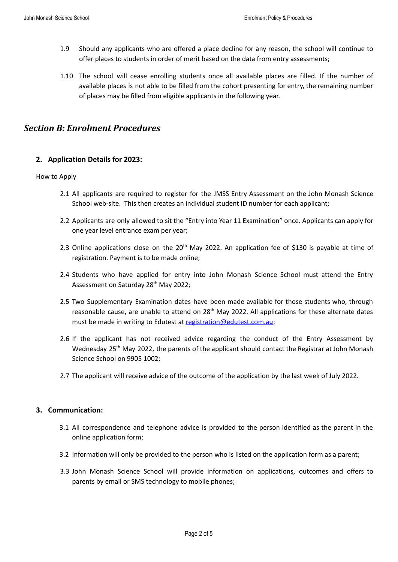- 1.9 Should any applicants who are offered a place decline for any reason, the school will continue to offer places to students in order of merit based on the data from entry assessments;
- 1.10 The school will cease enrolling students once all available places are filled. If the number of available places is not able to be filled from the cohort presenting for entry, the remaining number of places may be filled from eligible applicants in the following year.

# *Section B: Enrolment Procedures*

## **2. Application Details for 2023:**

#### How to Apply

- 2.1 All applicants are required to register for the JMSS Entry Assessment on the John Monash Science School web-site. This then creates an individual student ID number for each applicant;
- 2.2 Applicants are only allowed to sit the "Entry into Year 11 Examination" once. Applicants can apply for one year level entrance exam per year;
- 2.3 Online applications close on the  $20<sup>th</sup>$  May 2022. An application fee of \$130 is payable at time of registration. Payment is to be made online;
- 2.4 Students who have applied for entry into John Monash Science School must attend the Entry Assessment on Saturday 28<sup>th</sup> May 2022;
- 2.5 Two Supplementary Examination dates have been made available for those students who, through reasonable cause, are unable to attend on 28<sup>th</sup> May 2022. All applications for these alternate dates must be made in writing to Edutest at [registration@edutest.com.au](mailto:registration@edutest.com.au);
- 2.6 If the applicant has not received advice regarding the conduct of the Entry Assessment by Wednesday 25<sup>th</sup> May 2022, the parents of the applicant should contact the Registrar at John Monash Science School on 9905 1002;
- 2.7 The applicant will receive advice of the outcome of the application by the last week of July 2022.

## **3. Communication:**

- 3.1 All correspondence and telephone advice is provided to the person identified as the parent in the online application form;
- 3.2 Information will only be provided to the person who is listed on the application form as a parent;
- 3.3 John Monash Science School will provide information on applications, outcomes and offers to parents by email or SMS technology to mobile phones;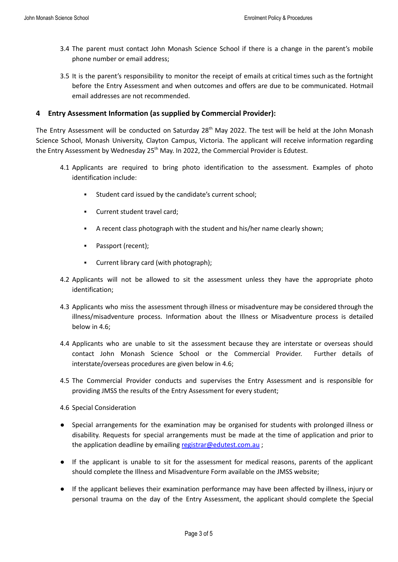- 3.4 The parent must contact John Monash Science School if there is a change in the parent's mobile phone number or email address;
- 3.5 It is the parent's responsibility to monitor the receipt of emails at critical times such as the fortnight before the Entry Assessment and when outcomes and offers are due to be communicated. Hotmail email addresses are not recommended.

## **4 Entry Assessment Information (as supplied by Commercial Provider):**

The Entry Assessment will be conducted on Saturday 28<sup>th</sup> May 2022. The test will be held at the John Monash Science School, Monash University, Clayton Campus, Victoria. The applicant will receive information regarding the Entry Assessment by Wednesday 25<sup>th</sup> May. In 2022, the Commercial Provider is Edutest.

- 4.1 Applicants are required to bring photo identification to the assessment. Examples of photo identification include:
	- Student card issued by the candidate's current school;
	- Current student travel card:
	- A recent class photograph with the student and his/her name clearly shown;
	- Passport (recent);
	- Current library card (with photograph);
- 4.2 Applicants will not be allowed to sit the assessment unless they have the appropriate photo identification;
- 4.3 Applicants who miss the assessment through illness or misadventure may be considered through the illness/misadventure process. Information about the Illness or Misadventure process is detailed below in 4.6;
- 4.4 Applicants who are unable to sit the assessment because they are interstate or overseas should contact John Monash Science School or the Commercial Provider. Further details of interstate/overseas procedures are given below in 4.6;
- 4.5 The Commercial Provider conducts and supervises the Entry Assessment and is responsible for providing JMSS the results of the Entry Assessment for every student;
- 4.6 Special Consideration
- Special arrangements for the examination may be organised for students with prolonged illness or disability. Requests for special arrangements must be made at the time of application and prior to the application deadline by emailing [registrar@edutest.com.au](mailto:registrar@edutest.com.au) ;
- If the applicant is unable to sit for the assessment for medical reasons, parents of the applicant should complete the Illness and Misadventure Form available on the JMSS website;
- If the applicant believes their examination performance may have been affected by illness, injury or personal trauma on the day of the Entry Assessment, the applicant should complete the Special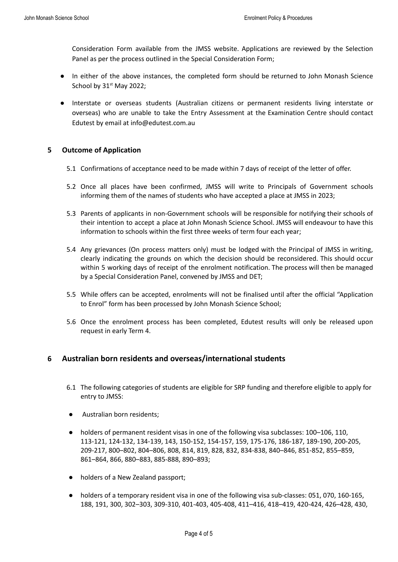Consideration Form available from the JMSS website. Applications are reviewed by the Selection Panel as per the process outlined in the Special Consideration Form;

- In either of the above instances, the completed form should be returned to John Monash Science School by  $31<sup>st</sup>$  May 2022;
- Interstate or overseas students (Australian citizens or permanent residents living interstate or overseas) who are unable to take the Entry Assessment at the Examination Centre should contact Edutest by email at info@edutest.com.au

## **5 Outcome of Application**

- 5.1 Confirmations of acceptance need to be made within 7 days of receipt of the letter of offer.
- 5.2 Once all places have been confirmed, JMSS will write to Principals of Government schools informing them of the names of students who have accepted a place at JMSS in 2023;
- 5.3 Parents of applicants in non-Government schools will be responsible for notifying their schools of their intention to accept a place at John Monash Science School. JMSS will endeavour to have this information to schools within the first three weeks of term four each year;
- 5.4 Any grievances (On process matters only) must be lodged with the Principal of JMSS in writing, clearly indicating the grounds on which the decision should be reconsidered. This should occur within 5 working days of receipt of the enrolment notification. The process will then be managed by a Special Consideration Panel, convened by JMSS and DET;
- 5.5 While offers can be accepted, enrolments will not be finalised until after the official "Application to Enrol" form has been processed by John Monash Science School;
- 5.6 Once the enrolment process has been completed, Edutest results will only be released upon request in early Term 4.

## **6 Australian born residents and overseas/international students**

- 6.1 The following categories of students are eligible for SRP funding and therefore eligible to apply for entry to JMSS:
- Australian born residents;
- holders of permanent resident visas in one of the following visa subclasses: 100–106, 110, 113-121, 124-132, 134-139, 143, 150-152, 154-157, 159, 175-176, 186-187, 189-190, 200-205, 209-217, 800–802, 804–806, 808, 814, 819, 828, 832, 834-838, 840–846, 851-852, 855–859, 861–864, 866, 880–883, 885-888, 890–893;
- holders of a New Zealand passport;
- holders of a temporary resident visa in one of the following visa sub-classes: 051, 070, 160-165, 188, 191, 300, 302–303, 309-310, 401-403, 405-408, 411–416, 418–419, 420-424, 426–428, 430,